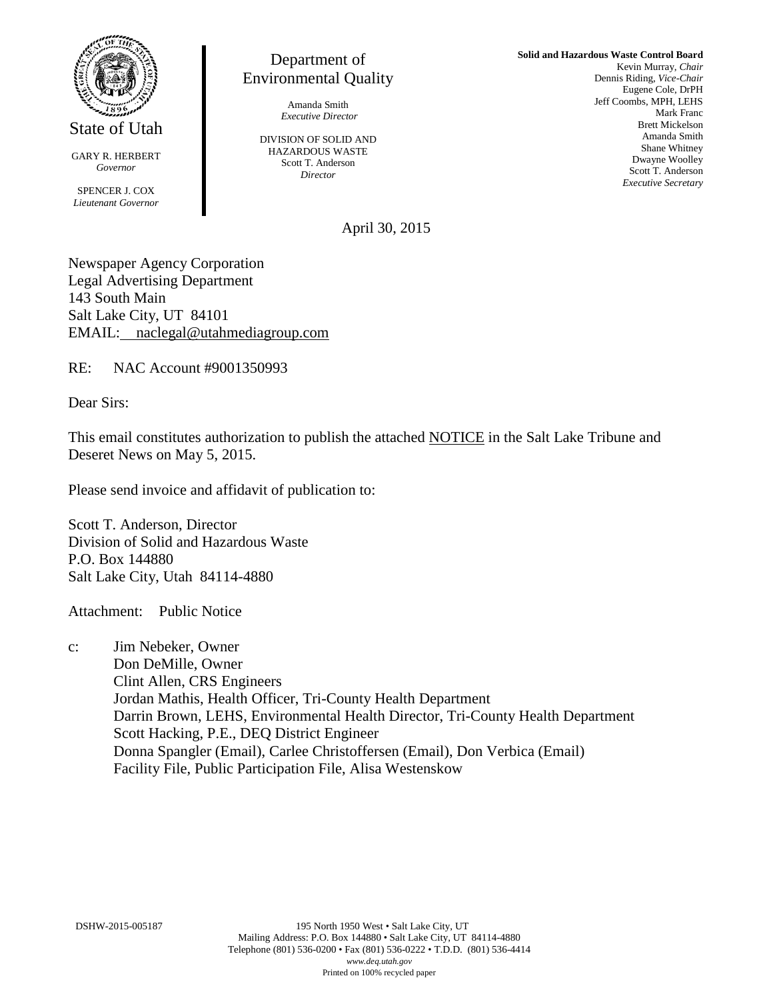

State of Utah

GARY R. HERBERT *Governor*

SPENCER J. COX *Lieutenant Governor*

Department of Environmental Quality

> Amanda Smith *Executive Director*

DIVISION OF SOLID AND HAZARDOUS WASTE Scott T. Anderson *Director*

**Solid and Hazardous Waste Control Board** Kevin Murray, *Chair* Dennis Riding, *Vice-Chair* Eugene Cole, DrPH Jeff Coombs, MPH, LEHS Mark Franc Brett Mickelson Amanda Smith Shane Whitney Dwayne Woolley Scott T. Anderson *Executive Secretary*

April 30, 2015

Newspaper Agency Corporation Legal Advertising Department 143 South Main Salt Lake City, UT 84101 EMAIL: naclegal@utahmediagroup.com

RE: NAC Account #9001350993

Dear Sirs:

This email constitutes authorization to publish the attached NOTICE in the Salt Lake Tribune and Deseret News on May 5, 2015.

Please send invoice and affidavit of publication to:

Scott T. Anderson, Director Division of Solid and Hazardous Waste P.O. Box 144880 Salt Lake City, Utah 84114-4880

Attachment: Public Notice

c: Jim Nebeker, Owner Don DeMille, Owner Clint Allen, CRS Engineers Jordan Mathis, Health Officer, Tri-County Health Department Darrin Brown, LEHS, Environmental Health Director, Tri-County Health Department Scott Hacking, P.E., DEQ District Engineer Donna Spangler (Email), Carlee Christoffersen (Email), Don Verbica (Email) Facility File, Public Participation File, Alisa Westenskow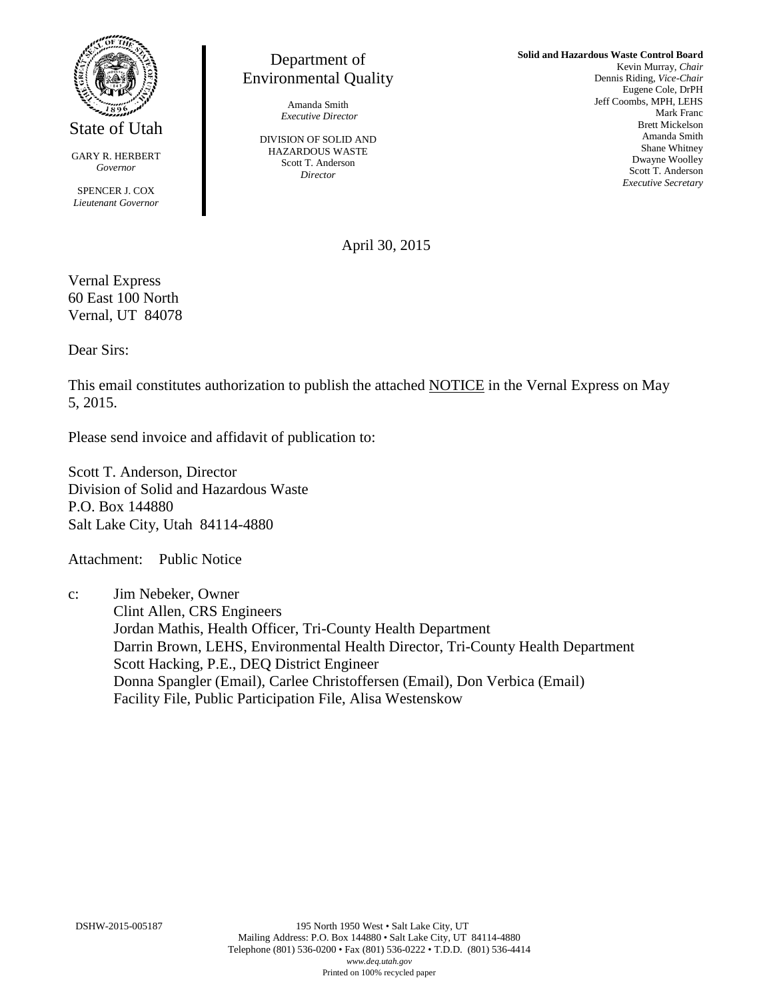

State of Utah

GARY R. HERBERT *Governor*

SPENCER J. COX *Lieutenant Governor*

## Department of Environmental Quality

Amanda Smith *Executive Director*

DIVISION OF SOLID AND HAZARDOUS WASTE Scott T. Anderson *Director*

**Solid and Hazardous Waste Control Board** Kevin Murray, *Chair* Dennis Riding, *Vice-Chair* Eugene Cole, DrPH Jeff Coombs, MPH, LEHS Mark Franc Brett Mickelson Amanda Smith Shane Whitney Dwayne Woolley Scott T. Anderson *Executive Secretary*

April 30, 2015

Vernal Express 60 East 100 North Vernal, UT 84078

Dear Sirs:

This email constitutes authorization to publish the attached NOTICE in the Vernal Express on May 5, 2015.

Please send invoice and affidavit of publication to:

Scott T. Anderson, Director Division of Solid and Hazardous Waste P.O. Box 144880 Salt Lake City, Utah 84114-4880

Attachment: Public Notice

c: Jim Nebeker, Owner Clint Allen, CRS Engineers Jordan Mathis, Health Officer, Tri-County Health Department Darrin Brown, LEHS, Environmental Health Director, Tri-County Health Department Scott Hacking, P.E., DEQ District Engineer Donna Spangler (Email), Carlee Christoffersen (Email), Don Verbica (Email) Facility File, Public Participation File, Alisa Westenskow